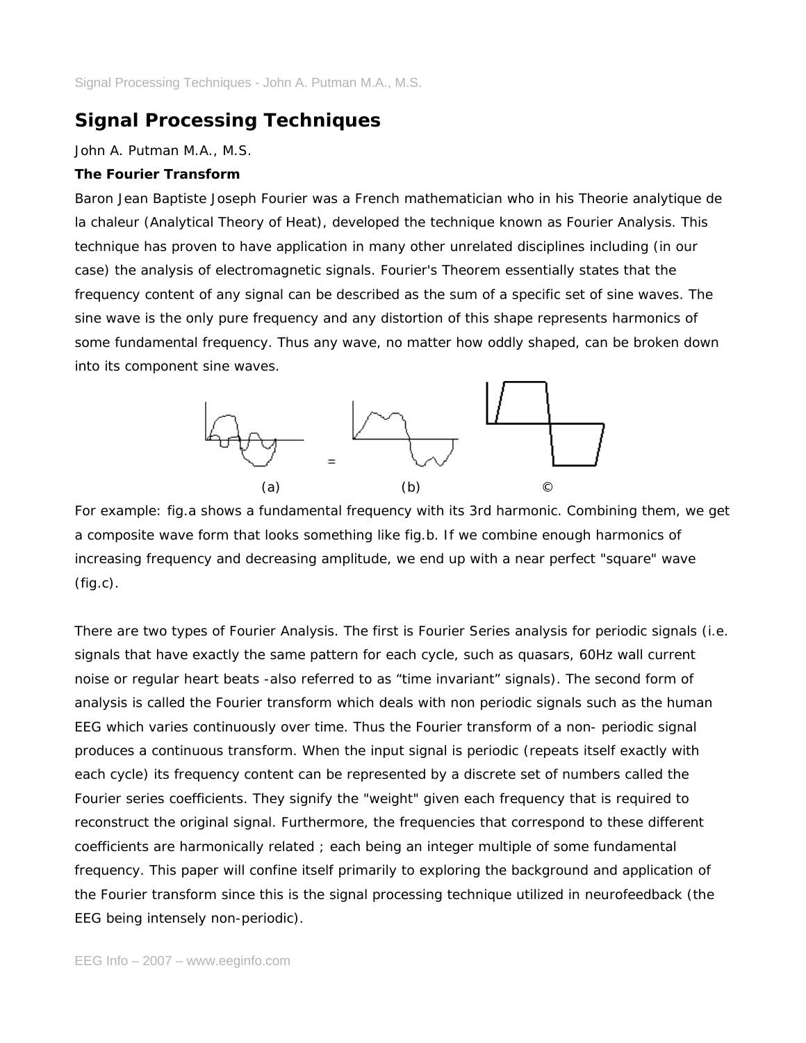# **Signal Processing Techniques**

*John A. Putman M.A., M.S.*

# **The Fourier Transform**

Baron Jean Baptiste Joseph Fourier was a French mathematician who in his Theorie analytique de la chaleur (Analytical Theory of Heat), developed the technique known as Fourier Analysis. This technique has proven to have application in many other unrelated disciplines including (in our case) the analysis of electromagnetic signals. Fourier's Theorem essentially states that the frequency content of any signal can be described as the sum of a specific set of sine waves. The sine wave is the only pure frequency and any distortion of this shape represents harmonics of some fundamental frequency. Thus any wave, no matter how oddly shaped, can be broken down into its component sine waves.



For example: fig.a shows a fundamental frequency with its 3rd harmonic. Combining them, we get a composite wave form that looks something like fig.b. If we combine enough harmonics of increasing frequency and decreasing amplitude, we end up with a near perfect "square" wave  $(fiq.c).$ 

There are two types of Fourier Analysis. The first is Fourier Series analysis for periodic signals (i.e. signals that have exactly the same pattern for each cycle, such as quasars, 60Hz wall current noise or regular heart beats -also referred to as "time invariant" signals). The second form of analysis is called the Fourier transform which deals with non periodic signals such as the human EEG which varies continuously over time. Thus the Fourier transform of a non- periodic signal produces a continuous transform. When the input signal is periodic (repeats itself exactly with each cycle) its frequency content can be represented by a discrete set of numbers called the Fourier series coefficients. They signify the "weight" given each frequency that is required to reconstruct the original signal. Furthermore, the frequencies that correspond to these different coefficients are harmonically related ; each being an integer multiple of some fundamental frequency. This paper will confine itself primarily to exploring the background and application of the Fourier transform since this is the signal processing technique utilized in neurofeedback (the EEG being intensely non-periodic).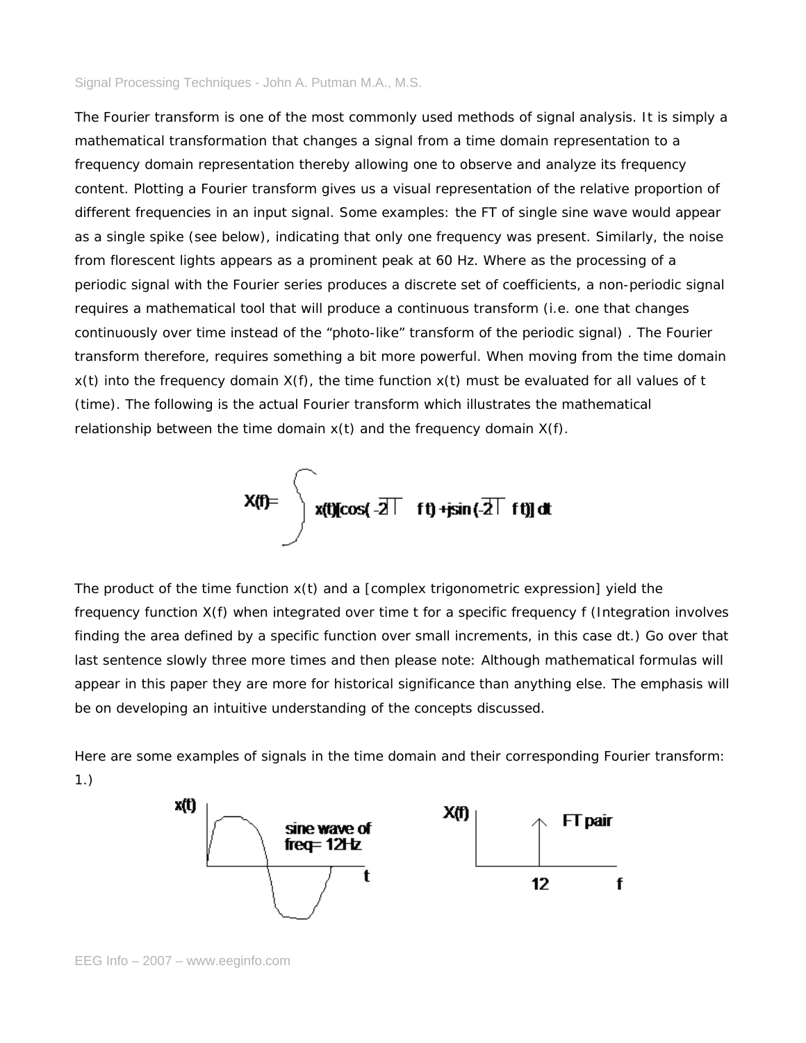The Fourier transform is one of the most commonly used methods of signal analysis. It is simply a mathematical transformation that changes a signal from a time domain representation to a frequency domain representation thereby allowing one to observe and analyze its frequency content. Plotting a Fourier transform gives us a visual representation of the relative proportion of different frequencies in an input signal. Some examples: the FT of single sine wave would appear as a single spike (see below), indicating that only one frequency was present. Similarly, the noise from florescent lights appears as a prominent peak at 60 Hz. Where as the processing of a periodic signal with the Fourier series produces a discrete set of coefficients, a non-periodic signal requires a mathematical tool that will produce a continuous transform (i.e. one that changes continuously over time instead of the "photo-like" transform of the periodic signal) . The Fourier transform therefore, requires something a bit more powerful. When moving from the time domain  $x(t)$  into the frequency domain  $X(f)$ , the time function  $x(t)$  must be evaluated for all values of t (time). The following is the actual Fourier transform which illustrates the mathematical relationship between the time domain  $x(t)$  and the frequency domain  $X(f)$ .



The product of the time function  $x(t)$  and a [complex trigonometric expression] yield the frequency function X(f) when integrated over time t for a specific frequency f (Integration involves finding the area defined by a specific function over small increments, in this case dt.) Go over that last sentence slowly three more times and then please note: Although mathematical formulas will appear in this paper they are more for historical significance than anything else. The emphasis will be on developing an intuitive understanding of the concepts discussed.

Here are some examples of signals in the time domain and their corresponding Fourier transform: 1.)

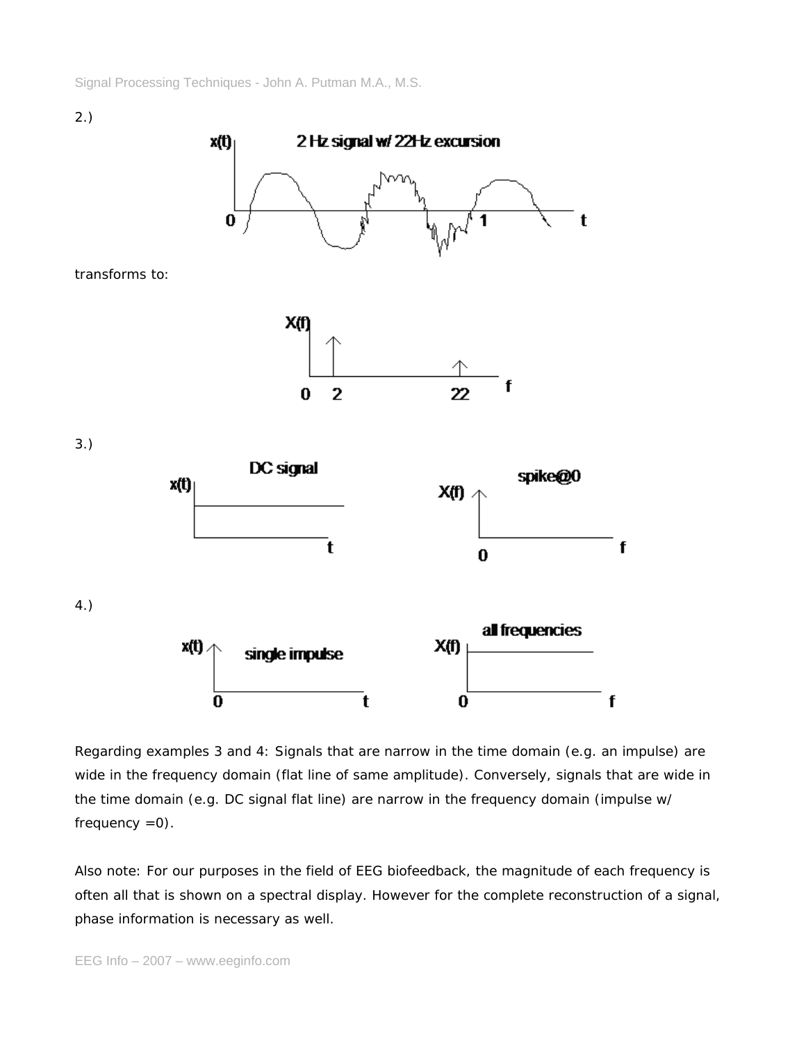

Regarding examples 3 and 4: Signals that are narrow in the time domain (e.g. an impulse) are wide in the frequency domain (flat line of same amplitude). Conversely, signals that are wide in the time domain (e.g. DC signal flat line) are narrow in the frequency domain (impulse w/ frequency  $=0$ ).

Also note: For our purposes in the field of EEG biofeedback, the magnitude of each frequency is often all that is shown on a spectral display. However for the complete reconstruction of a signal, phase information is necessary as well.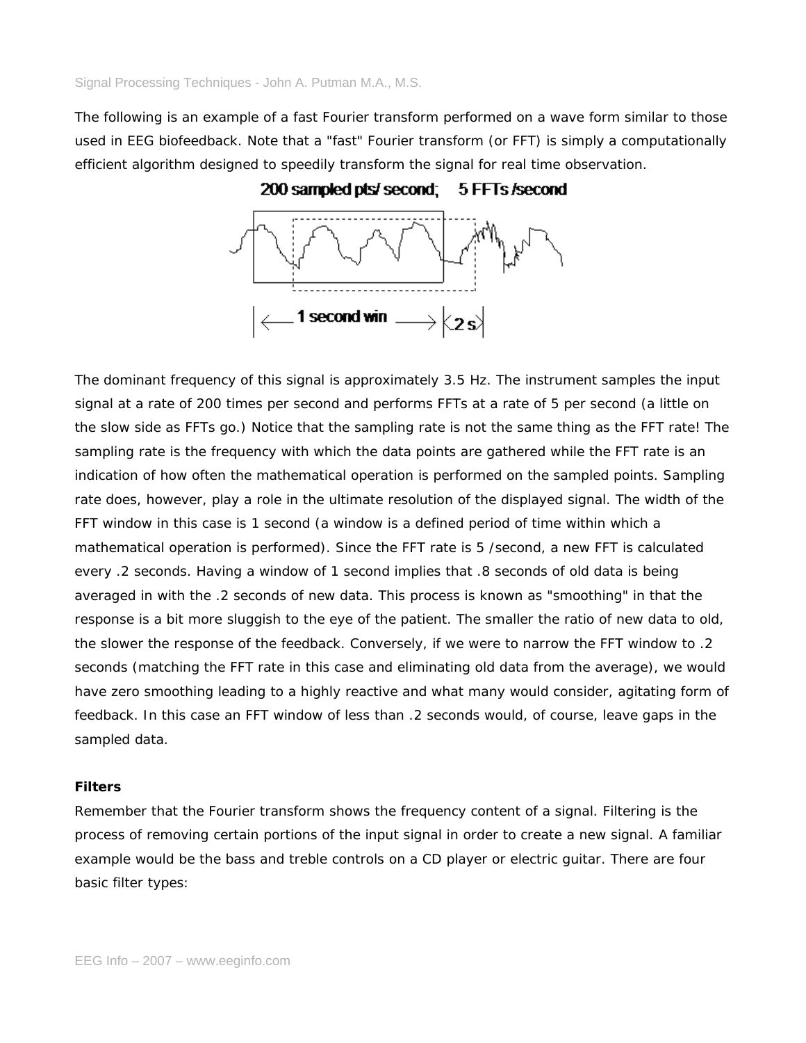The following is an example of a fast Fourier transform performed on a wave form similar to those used in EEG biofeedback. Note that a "fast" Fourier transform (or FFT) is simply a computationally efficient algorithm designed to speedily transform the signal for real time observation.



The dominant frequency of this signal is approximately 3.5 Hz. The instrument samples the input signal at a rate of 200 times per second and performs FFTs at a rate of 5 per second (a little on the slow side as FFTs go.) Notice that the sampling rate is not the same thing as the FFT rate! The sampling rate is the frequency with which the data points are gathered while the FFT rate is an indication of how often the mathematical operation is performed on the sampled points. Sampling rate does, however, play a role in the ultimate resolution of the displayed signal. The width of the FFT window in this case is 1 second (a window is a defined period of time within which a mathematical operation is performed). Since the FFT rate is 5 /second, a new FFT is calculated every .2 seconds. Having a window of 1 second implies that .8 seconds of old data is being averaged in with the .2 seconds of new data. This process is known as "smoothing" in that the response is a bit more sluggish to the eye of the patient. The smaller the ratio of new data to old, the slower the response of the feedback. Conversely, if we were to narrow the FFT window to .2 seconds (matching the FFT rate in this case and eliminating old data from the average), we would have zero smoothing leading to a highly reactive and what many would consider, agitating form of feedback. In this case an FFT window of less than .2 seconds would, of course, leave gaps in the sampled data.

## **Filters**

Remember that the Fourier transform shows the frequency content of a signal. Filtering is the process of removing certain portions of the input signal in order to create a new signal. A familiar example would be the bass and treble controls on a CD player or electric guitar. There are four basic filter types: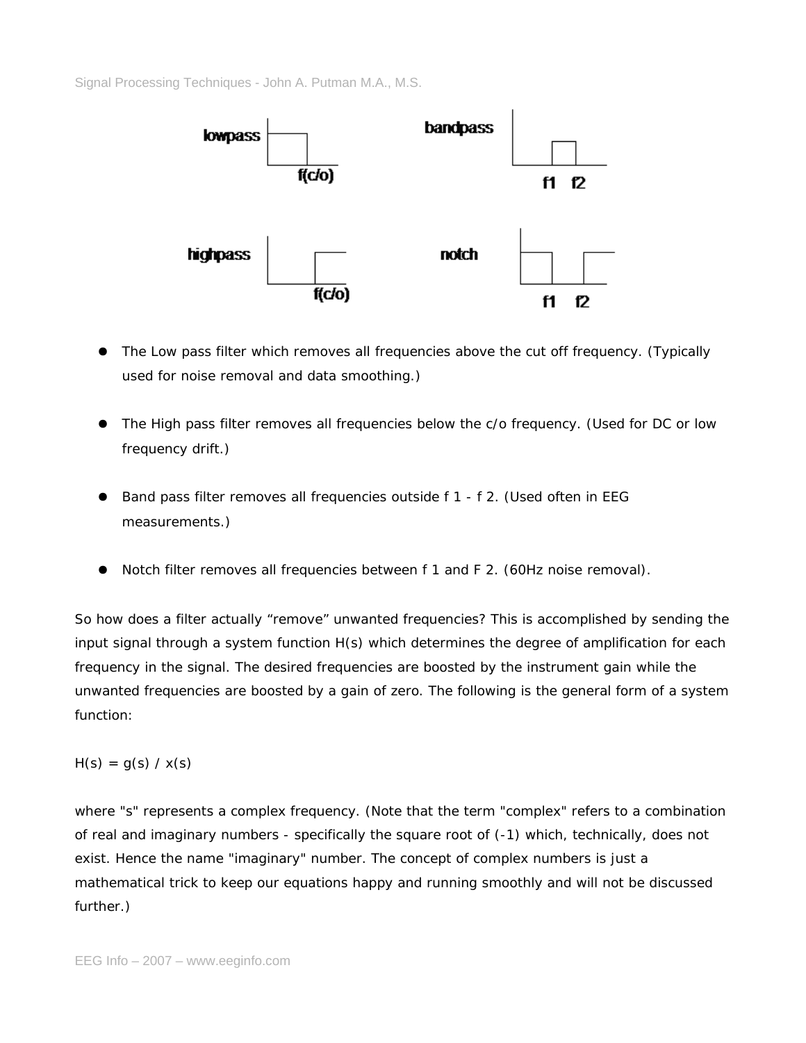

- The Low pass filter which removes all frequencies above the cut off frequency. (Typically used for noise removal and data smoothing.)
- The High pass filter removes all frequencies below the c/o frequency. (Used for DC or low frequency drift.)
- Band pass filter removes all frequencies outside f 1 f 2. (Used often in EEG measurements.)
- Notch filter removes all frequencies between f 1 and F 2. (60Hz noise removal).

So how does a filter actually "remove" unwanted frequencies? This is accomplished by sending the input signal through a system function H(s) which determines the degree of amplification for each frequency in the signal. The desired frequencies are boosted by the instrument gain while the unwanted frequencies are boosted by a gain of zero. The following is the general form of a system function:

 $H(s) = g(s) / x(s)$ 

where "s" represents a complex frequency. (Note that the term "complex" refers to a combination of real and imaginary numbers - specifically the square root of (-1) which, technically, does not exist. Hence the name "imaginary" number. The concept of complex numbers is just a mathematical trick to keep our equations happy and running smoothly and will not be discussed further.)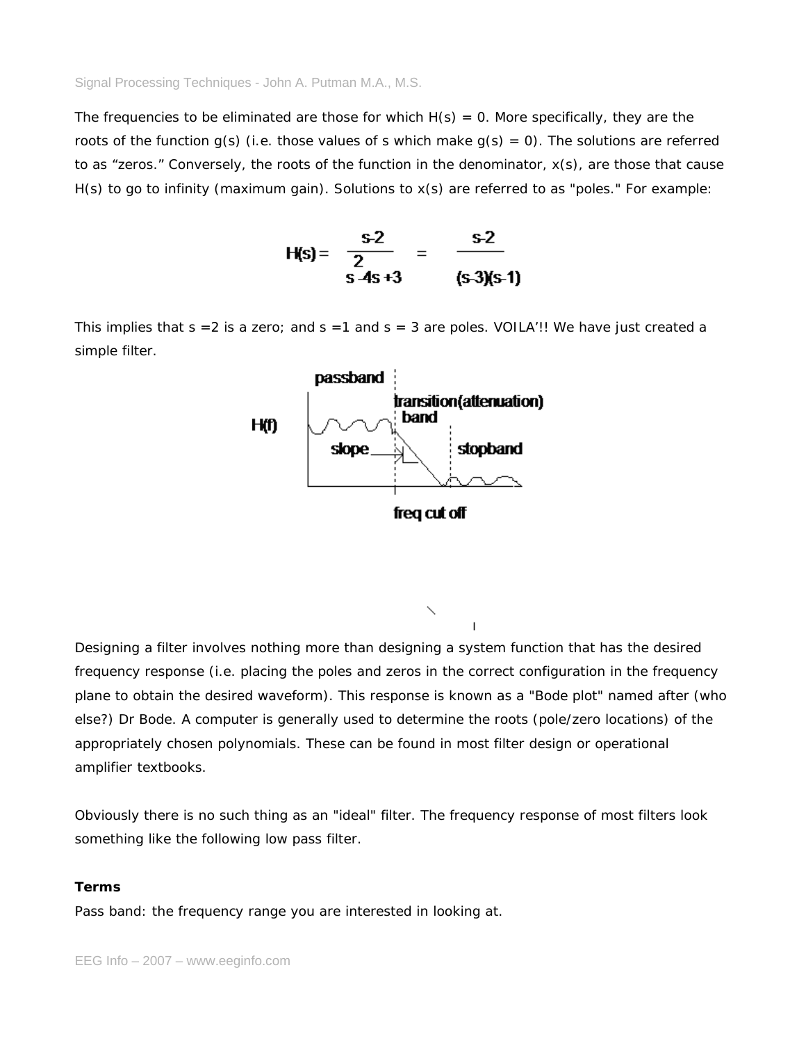The frequencies to be eliminated are those for which  $H(s) = 0$ . More specifically, they are the roots of the function  $g(s)$  (i.e. those values of s which make  $g(s) = 0$ ). The solutions are referred to as "zeros." Conversely, the roots of the function in the denominator, x(s), are those that cause H(s) to go to infinity (maximum gain). Solutions to x(s) are referred to as "poles." For example:

$$
H(s) = \frac{s-2}{2} = \frac{s-2}{s-4s+3} = \frac{s-2}{(s-3)(s-1)}
$$

This implies that  $s = 2$  is a zero; and  $s = 1$  and  $s = 3$  are poles. VOILA'!! We have just created a simple filter.



Designing a filter involves nothing more than designing a system function that has the desired frequency response (i.e. placing the poles and zeros in the correct configuration in the frequency plane to obtain the desired waveform). This response is known as a "Bode plot" named after (who else?) Dr Bode. A computer is generally used to determine the roots (pole/zero locations) of the appropriately chosen polynomials. These can be found in most filter design or operational amplifier textbooks.

Obviously there is no such thing as an "ideal" filter. The frequency response of most filters look something like the following low pass filter.

# **Terms**

*Pass band*: the frequency range you are interested in looking at.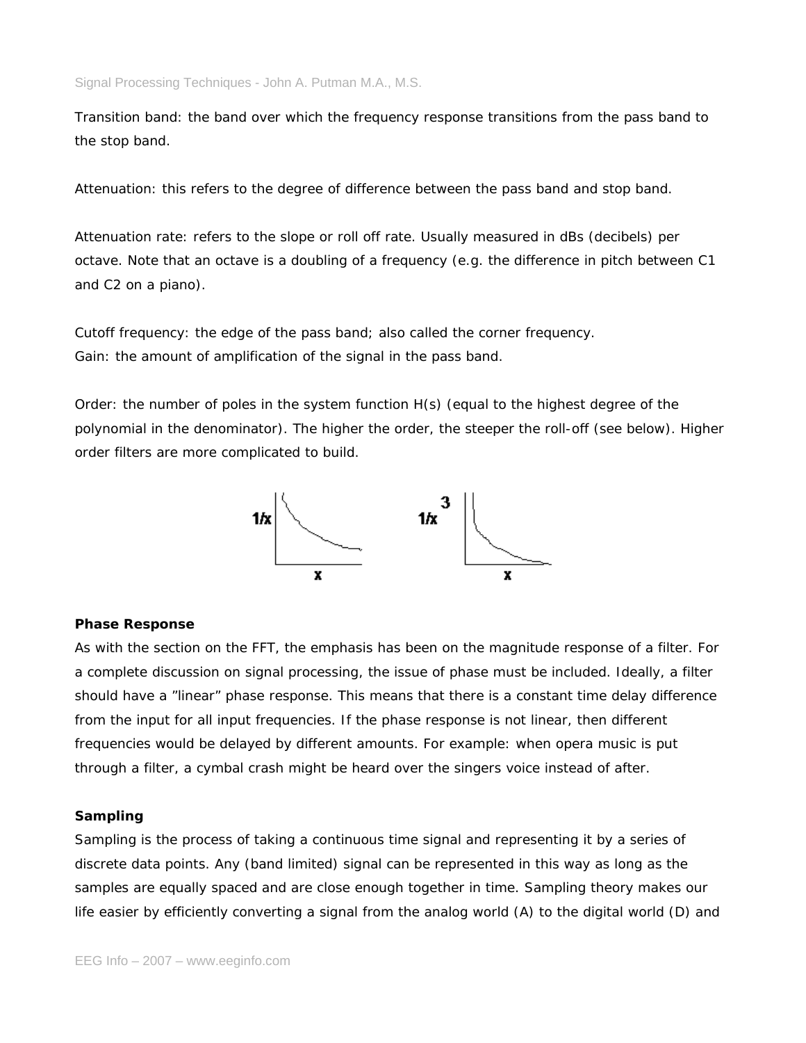*Transition band*: the band over which the frequency response transitions from the pass band to the stop band.

*Attenuation*: this refers to the degree of difference between the pass band and stop band.

*Attenuation rate*: refers to the slope or roll off rate. Usually measured in dBs (decibels) per octave. Note that an octave is a doubling of a frequency (e.g. the difference in pitch between C1 and C2 on a piano).

*Cutoff frequency*: the edge of the pass band; also called the corner frequency. *Gain*: the amount of amplification of the signal in the pass band.

*Order*: the number of poles in the system function H(s) (equal to the highest degree of the polynomial in the denominator). The higher the order, the steeper the roll-off (see below). Higher order filters are more complicated to build.



## **Phase Response**

As with the section on the FFT, the emphasis has been on the magnitude response of a filter. For a complete discussion on signal processing, the issue of phase must be included. Ideally, a filter should have a "linear" phase response. This means that there is a constant time delay difference from the input for all input frequencies. If the phase response is not linear, then different frequencies would be delayed by different amounts. For example: when opera music is put through a filter, a cymbal crash might be heard over the singers voice instead of after.

#### **Sampling**

Sampling is the process of taking a continuous time signal and representing it by a series of discrete data points. Any (band limited) signal can be represented in this way as long as the samples are equally spaced and are close enough together in time. Sampling theory makes our life easier by efficiently converting a signal from the analog world (A) to the digital world (D) and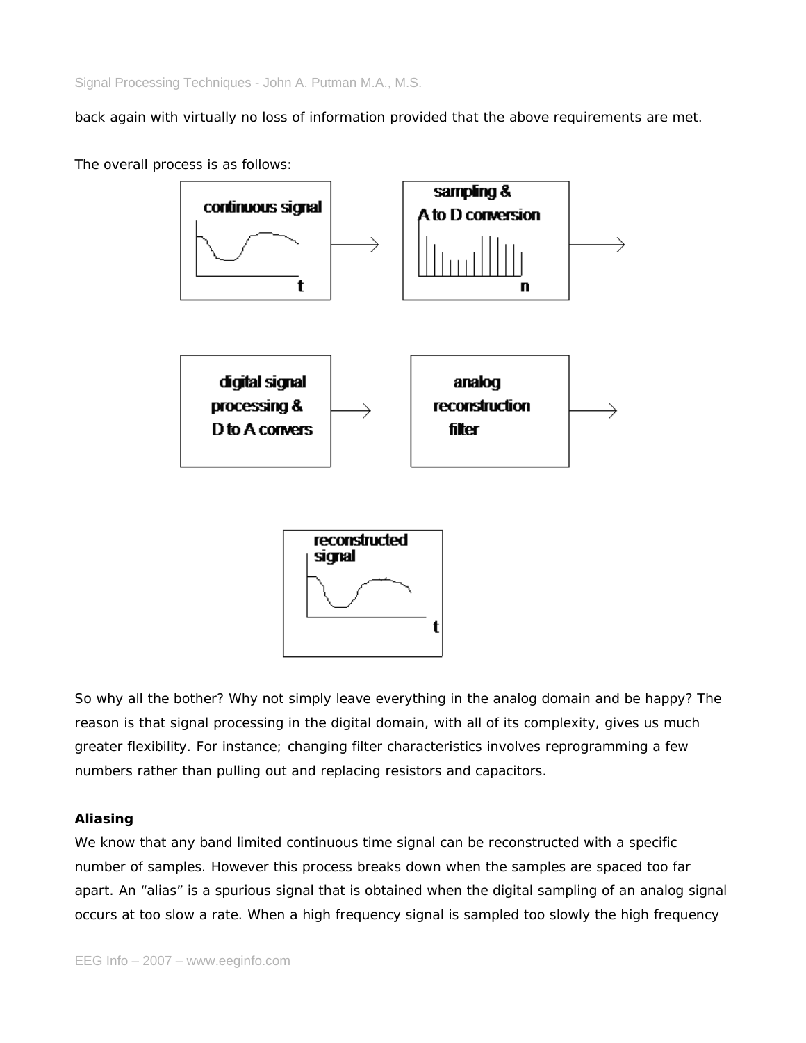back again with virtually no loss of information provided that the above requirements are met.

The overall process is as follows:



So why all the bother? Why not simply leave everything in the analog domain and be happy? The reason is that signal processing in the digital domain, with all of its complexity, gives us much greater flexibility. For instance; changing filter characteristics involves reprogramming a few numbers rather than pulling out and replacing resistors and capacitors.

# **Aliasing**

We know that any band limited continuous time signal can be reconstructed with a specific number of samples. However this process breaks down when the samples are spaced too far apart. An "alias" is a spurious signal that is obtained when the digital sampling of an analog signal occurs at too slow a rate. When a high frequency signal is sampled too slowly the high frequency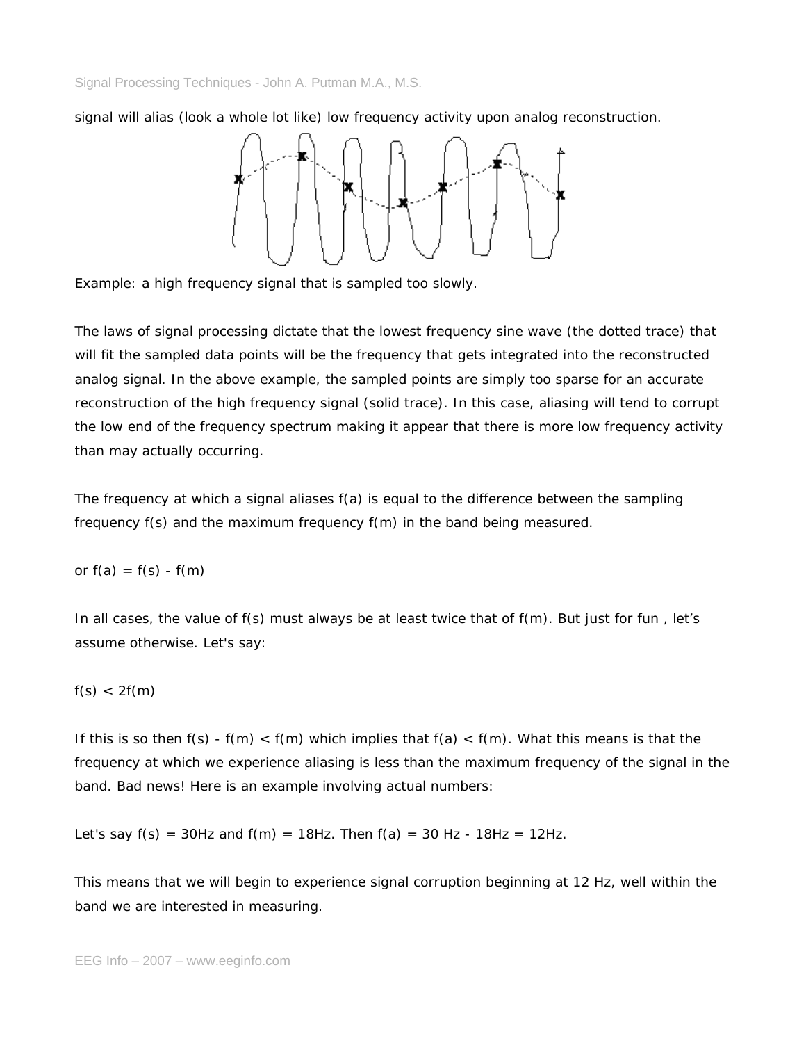signal will alias (look a whole lot like) low frequency activity upon analog reconstruction.



Example: a high frequency signal that is sampled too slowly.

The laws of signal processing dictate that the lowest frequency sine wave (the dotted trace) that will fit the sampled data points will be the frequency that gets integrated into the reconstructed analog signal. In the above example, the sampled points are simply too sparse for an accurate reconstruction of the high frequency signal (solid trace). In this case, aliasing will tend to corrupt the low end of the frequency spectrum making it appear that there is more low frequency activity than may actually occurring.

The frequency at which a signal aliases f(a) is equal to the difference between the sampling frequency f(s) and the maximum frequency f(m) in the band being measured.

or  $f(a) = f(s) - f(m)$ 

In all cases, the value of f(s) must always be at least twice that of f(m). But just for fun , let's assume otherwise. Let's say:

$$
f(s) < 2f(m)
$$

If this is so then  $f(s) - f(m) < f(m)$  which implies that  $f(a) < f(m)$ . What this means is that the frequency at which we experience aliasing is less than the maximum frequency of the signal in the band. Bad news! Here is an example involving actual numbers:

Let's say  $f(s) = 30$ Hz and  $f(m) = 18$ Hz. Then  $f(a) = 30$  Hz - 18Hz = 12Hz.

This means that we will begin to experience signal corruption beginning at 12 Hz, well within the band we are interested in measuring.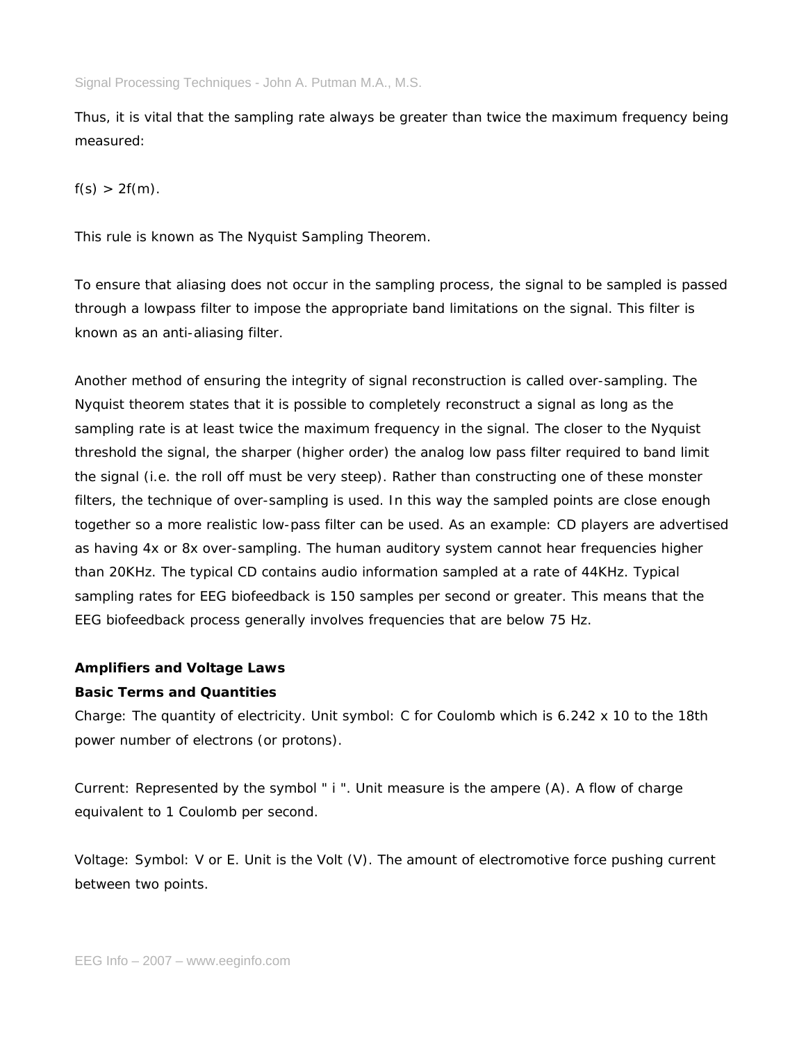Thus, it is vital that the sampling rate always be greater than twice the maximum frequency being measured:

 $f(s) > 2f(m)$ .

This rule is known as The Nyquist Sampling Theorem.

To ensure that aliasing does not occur in the sampling process, the signal to be sampled is passed through a lowpass filter to impose the appropriate band limitations on the signal. This filter is known as an anti-aliasing filter.

Another method of ensuring the integrity of signal reconstruction is called over-sampling. The Nyquist theorem states that it is possible to completely reconstruct a signal as long as the sampling rate is at least twice the maximum frequency in the signal. The closer to the Nyquist threshold the signal, the sharper (higher order) the analog low pass filter required to band limit the signal (i.e. the roll off must be very steep). Rather than constructing one of these monster filters, the technique of over-sampling is used. In this way the sampled points are close enough together so a more realistic low-pass filter can be used. As an example: CD players are advertised as having 4x or 8x over-sampling. The human auditory system cannot hear frequencies higher than 20KHz. The typical CD contains audio information sampled at a rate of 44KHz. Typical sampling rates for EEG biofeedback is 150 samples per second or greater. This means that the EEG biofeedback process generally involves frequencies that are below 75 Hz.

# **Amplifiers and Voltage Laws**

# **Basic Terms and Quantities**

*Charge*: The quantity of electricity. Unit symbol: C for Coulomb which is 6.242 x 10 to the 18th power number of electrons (or protons).

*Current*: Represented by the symbol " i ". Unit measure is the ampere (A). A flow of charge equivalent to 1 Coulomb per second.

*Voltage*: Symbol: V or E. Unit is the Volt (V). The amount of electromotive force pushing current between two points.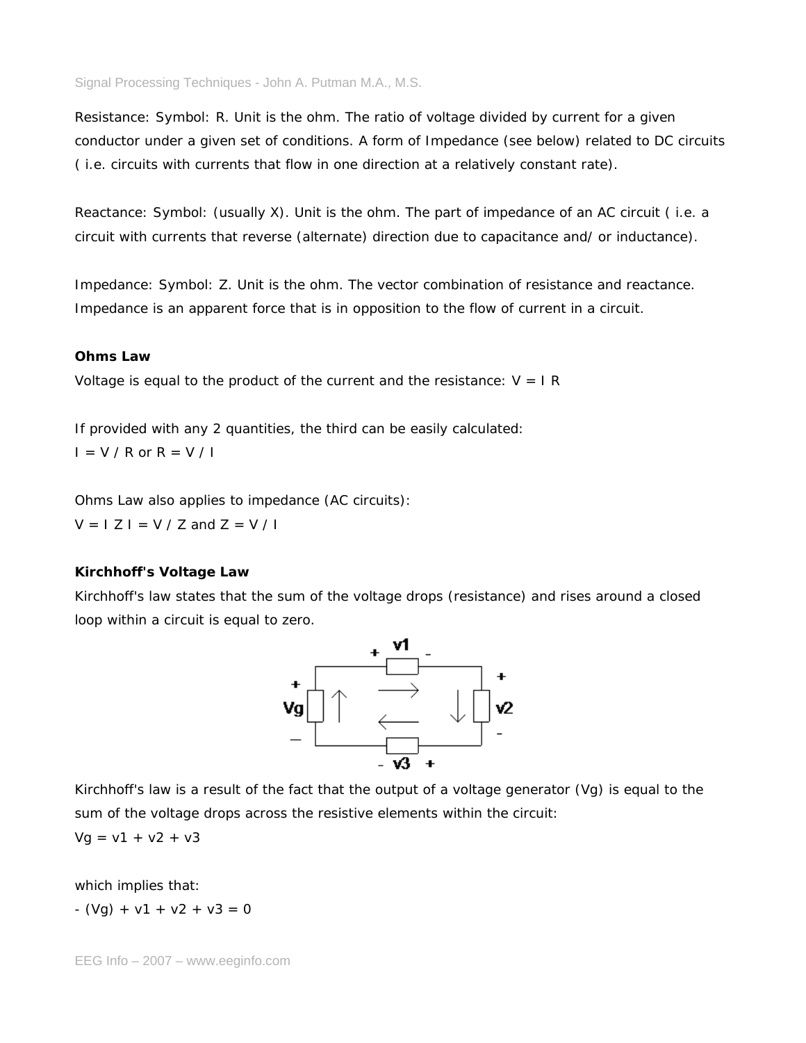*Resistance*: Symbol: R. Unit is the ohm. The ratio of voltage divided by current for a given conductor under a given set of conditions. A form of Impedance (see below) related to DC circuits ( i.e. circuits with currents that flow in one direction at a relatively constant rate).

*Reactance*: Symbol: (usually X). Unit is the ohm. The part of impedance of an AC circuit ( i.e. a circuit with currents that reverse (alternate) direction due to capacitance and/ or inductance).

*Impedance*: Symbol: Z. Unit is the ohm. The vector combination of resistance and reactance. Impedance is an apparent force that is in opposition to the flow of current in a circuit.

## **Ohms Law**

Voltage is equal to the product of the current and the resistance:  $V = I R$ 

If provided with any 2 quantities, the third can be easily calculated:  $I = V / R$  or  $R = V / I$ 

Ohms Law also applies to impedance (AC circuits):

 $V = I Z I = V / Z$  and  $Z = V / I$ 

# **Kirchhoff's Voltage Law**

Kirchhoff's law states that the sum of the voltage drops (resistance) and rises around a closed loop within a circuit is equal to zero.



Kirchhoff's law is a result of the fact that the output of a voltage generator (Vg) is equal to the sum of the voltage drops across the resistive elements within the circuit:

 $Vg = v1 + v2 + v3$ 

which implies that:

 $- (Vq) + v1 + v2 + v3 = 0$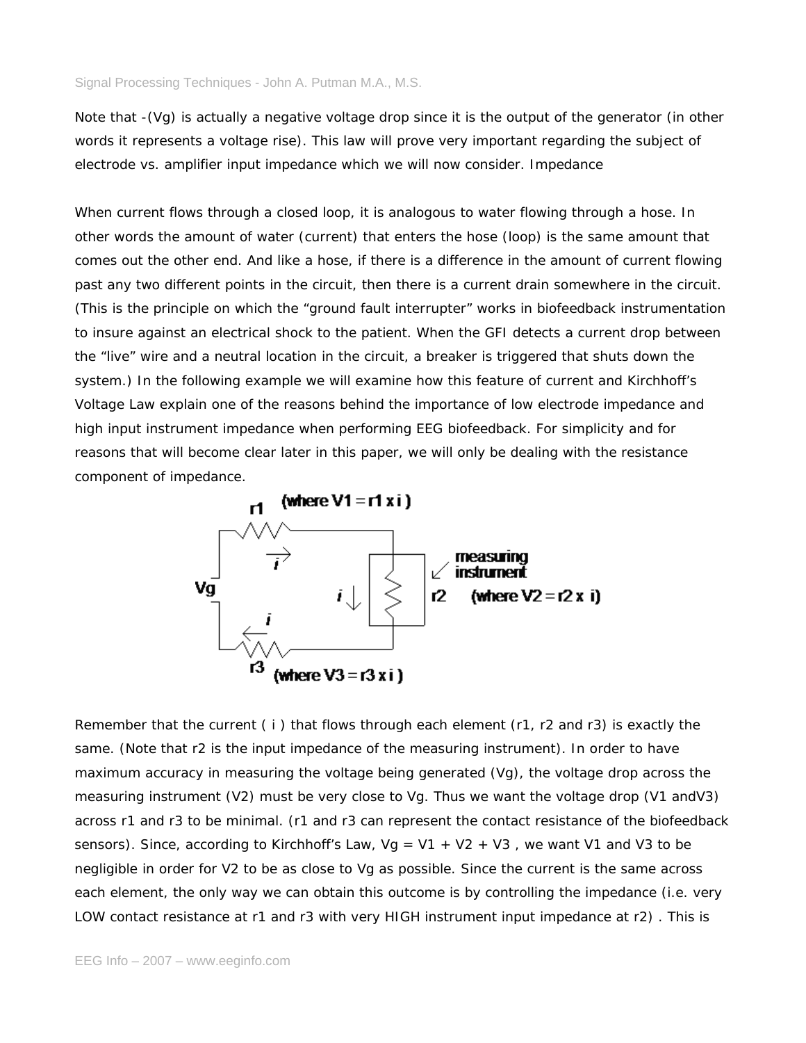Note that -(Vg) is actually a negative voltage drop since it is the output of the generator (in other words it represents a voltage rise). This law will prove very important regarding the subject of electrode vs. amplifier input impedance which we will now consider. Impedance

When current flows through a closed loop, it is analogous to water flowing through a hose. In other words the amount of water (current) that enters the hose (loop) is the same amount that comes out the other end. And like a hose, if there is a difference in the amount of current flowing past any two different points in the circuit, then there is a current drain somewhere in the circuit. (This is the principle on which the "ground fault interrupter" works in biofeedback instrumentation to insure against an electrical shock to the patient. When the GFI detects a current drop between the "live" wire and a neutral location in the circuit, a breaker is triggered that shuts down the system.) In the following example we will examine how this feature of current and Kirchhoff's Voltage Law explain one of the reasons behind the importance of low electrode impedance and high input instrument impedance when performing EEG biofeedback. For simplicity and for reasons that will become clear later in this paper, we will only be dealing with the resistance component of impedance.



Remember that the current (i) that flows through each element (r1, r2 and r3) is exactly the same. (Note that r2 is the input impedance of the measuring instrument). In order to have maximum accuracy in measuring the voltage being generated (Vg), the voltage drop across the measuring instrument (V2) must be very close to Vg. Thus we want the voltage drop (V1 andV3) across r1 and r3 to be minimal. (r1 and r3 can represent the contact resistance of the biofeedback sensors). Since, according to Kirchhoff's Law,  $Vg = V1 + V2 + V3$ , we want V1 and V3 to be negligible in order for V2 to be as close to Vg as possible. Since the current is the same across each element, the only way we can obtain this outcome is by controlling the impedance (i.e. very LOW contact resistance at r1 and r3 with very HIGH instrument input impedance at r2) . This is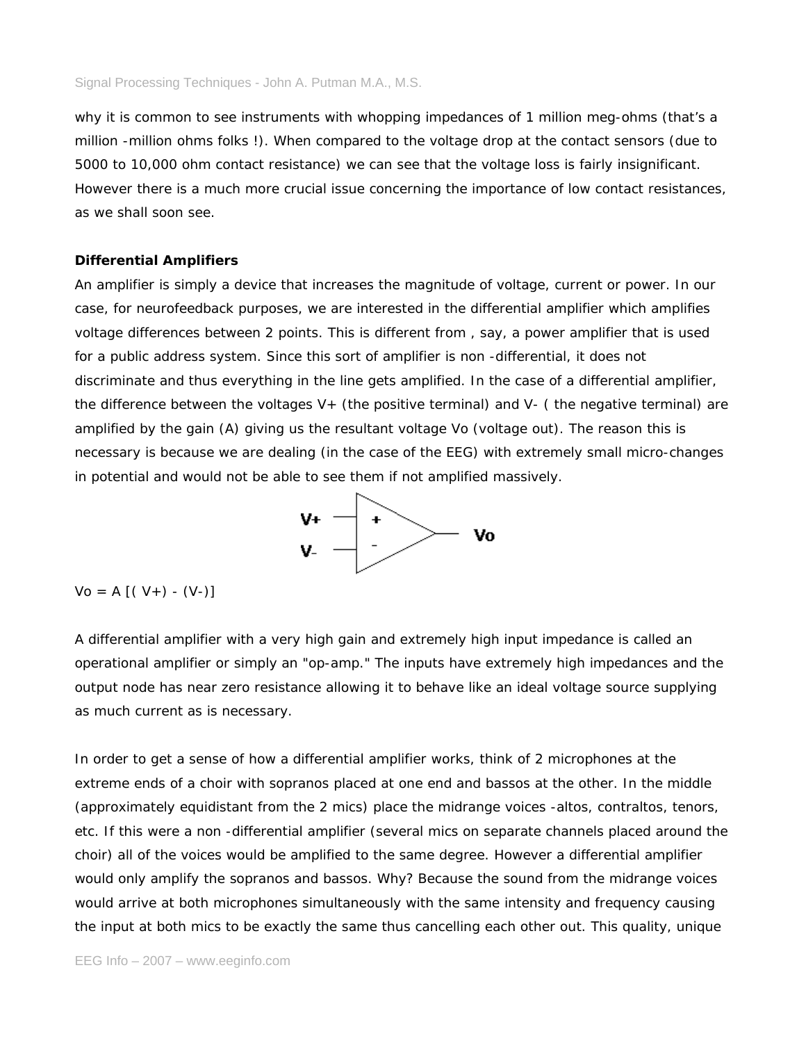why it is common to see instruments with whopping impedances of 1 million meg-ohms (that's a million -million ohms folks !). When compared to the voltage drop at the contact sensors (due to 5000 to 10,000 ohm contact resistance) we can see that the voltage loss is fairly insignificant. However there is a much more crucial issue concerning the importance of low contact resistances, as we shall soon see.

### **Differential Amplifiers**

An amplifier is simply a device that increases the magnitude of voltage, current or power. In our case, for neurofeedback purposes, we are interested in the differential amplifier which amplifies voltage differences between 2 points. This is different from , say, a power amplifier that is used for a public address system. Since this sort of amplifier is non -differential, it does not discriminate and thus everything in the line gets amplified. In the case of a differential amplifier, the difference between the voltages  $V_{+}$  (the positive terminal) and  $V_{-}$  (the negative terminal) are amplified by the gain (A) giving us the resultant voltage Vo (voltage out). The reason this is necessary is because we are dealing (in the case of the EEG) with extremely small micro-changes in potential and would not be able to see them if not amplified massively.



 $Vo = A [(V+) - (V-) ]$ 

A differential amplifier with a very high gain and extremely high input impedance is called an operational amplifier or simply an "op-amp." The inputs have extremely high impedances and the output node has near zero resistance allowing it to behave like an ideal voltage source supplying as much current as is necessary.

In order to get a sense of how a differential amplifier works, think of 2 microphones at the extreme ends of a choir with sopranos placed at one end and bassos at the other. In the middle (approximately equidistant from the 2 mics) place the midrange voices -altos, contraltos, tenors, etc. If this were a non -differential amplifier (several mics on separate channels placed around the choir) all of the voices would be amplified to the same degree. However a differential amplifier would only amplify the sopranos and bassos. Why? Because the sound from the midrange voices would arrive at both microphones simultaneously with the same intensity and frequency causing the input at both mics to be exactly the same thus cancelling each other out. This quality, unique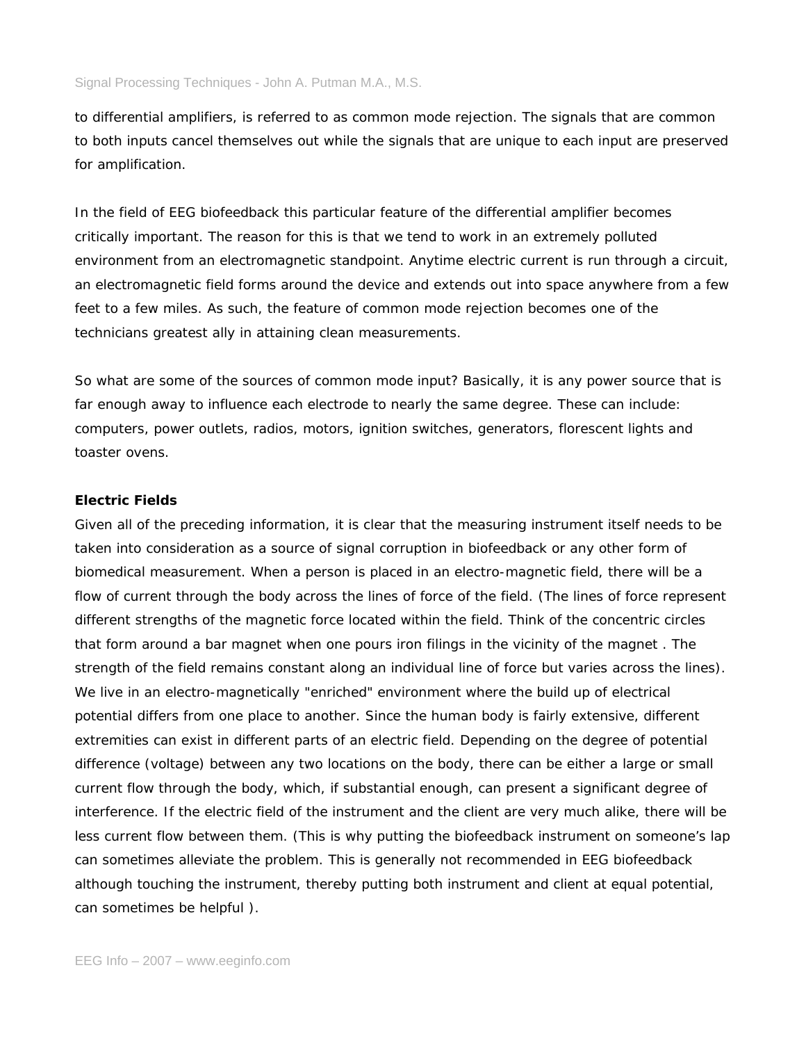to differential amplifiers, is referred to as common mode rejection. The signals that are common to both inputs cancel themselves out while the signals that are unique to each input are preserved for amplification.

In the field of EEG biofeedback this particular feature of the differential amplifier becomes critically important. The reason for this is that we tend to work in an extremely polluted environment from an electromagnetic standpoint. Anytime electric current is run through a circuit, an electromagnetic field forms around the device and extends out into space anywhere from a few feet to a few miles. As such, the feature of common mode rejection becomes one of the technicians greatest ally in attaining clean measurements.

So what are some of the sources of common mode input? Basically, it is any power source that is far enough away to influence each electrode to nearly the same degree. These can include: computers, power outlets, radios, motors, ignition switches, generators, florescent lights and toaster ovens.

### **Electric Fields**

Given all of the preceding information, it is clear that the measuring instrument itself needs to be taken into consideration as a source of signal corruption in biofeedback or any other form of biomedical measurement. When a person is placed in an electro-magnetic field, there will be a flow of current through the body across the lines of force of the field. (The lines of force represent different strengths of the magnetic force located within the field. Think of the concentric circles that form around a bar magnet when one pours iron filings in the vicinity of the magnet . The strength of the field remains constant along an individual line of force but varies across the lines). We live in an electro-magnetically "enriched" environment where the build up of electrical potential differs from one place to another. Since the human body is fairly extensive, different extremities can exist in different parts of an electric field. Depending on the degree of potential difference (voltage) between any two locations on the body, there can be either a large or small current flow through the body, which, if substantial enough, can present a significant degree of interference. If the electric field of the instrument and the client are very much alike, there will be less current flow between them. (This is why putting the biofeedback instrument on someone's lap can sometimes alleviate the problem. This is generally not recommended in EEG biofeedback although touching the instrument, thereby putting both instrument and client at equal potential, can sometimes be helpful ).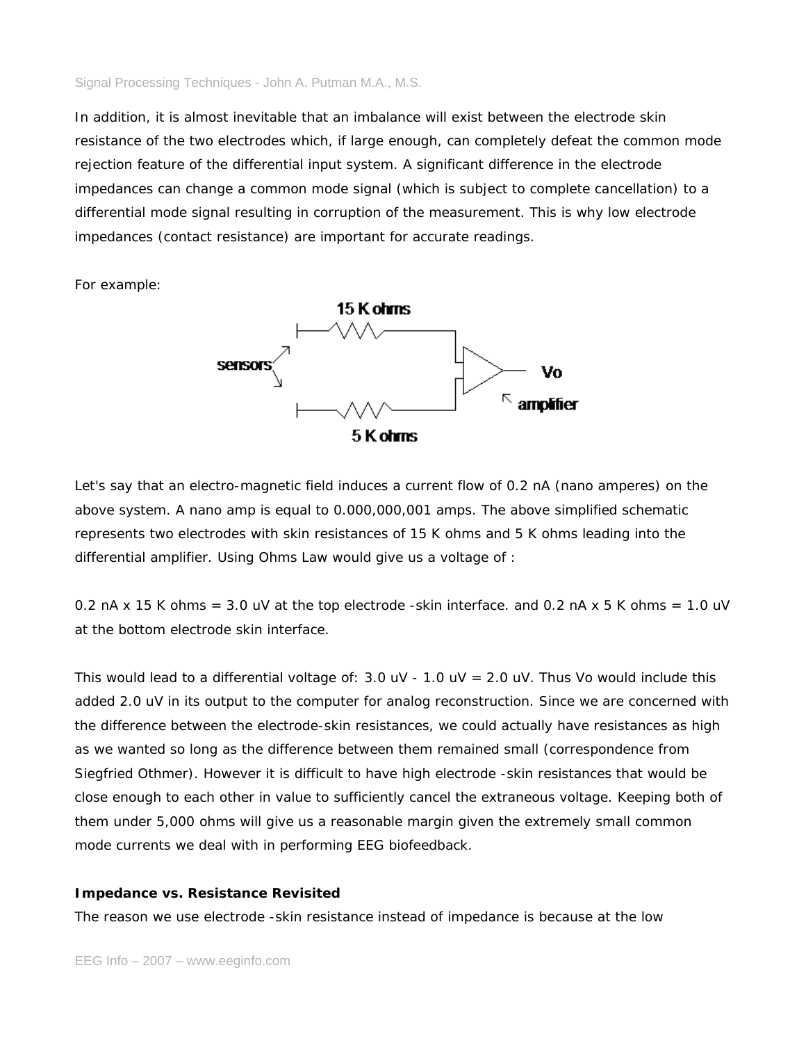In addition, it is almost inevitable that an imbalance will exist between the electrode skin resistance of the two electrodes which, if large enough, can completely defeat the common mode rejection feature of the differential input system. A significant difference in the electrode impedances can change a common mode signal (which is subject to complete cancellation) to a differential mode signal resulting in corruption of the measurement. This is why low electrode impedances (contact resistance) are important for accurate readings.

For example:



Let's say that an electro-magnetic field induces a current flow of 0.2 nA (nano amperes) on the above system. A nano amp is equal to 0.000,000,001 amps. The above simplified schematic represents two electrodes with skin resistances of 15 K ohms and 5 K ohms leading into the differential amplifier. Using Ohms Law would give us a voltage of :

0.2 nA x 15 K ohms =  $3.0$  uV at the top electrode -skin interface. and 0.2 nA x 5 K ohms =  $1.0$  uV at the bottom electrode skin interface.

This would lead to a differential voltage of:  $3.0$  uV -  $1.0$  uV =  $2.0$  uV. Thus Vo would include this added 2.0 uV in its output to the computer for analog reconstruction. Since we are concerned with the difference between the electrode-skin resistances, we could actually have resistances as high as we wanted so long as the difference between them remained small (correspondence from Siegfried Othmer). However it is difficult to have high electrode -skin resistances that would be close enough to each other in value to sufficiently cancel the extraneous voltage. Keeping both of them under 5,000 ohms will give us a reasonable margin given the extremely small common mode currents we deal with in performing EEG biofeedback.

## **Impedance vs. Resistance Revisited**

The reason we use electrode -skin resistance instead of impedance is because at the low